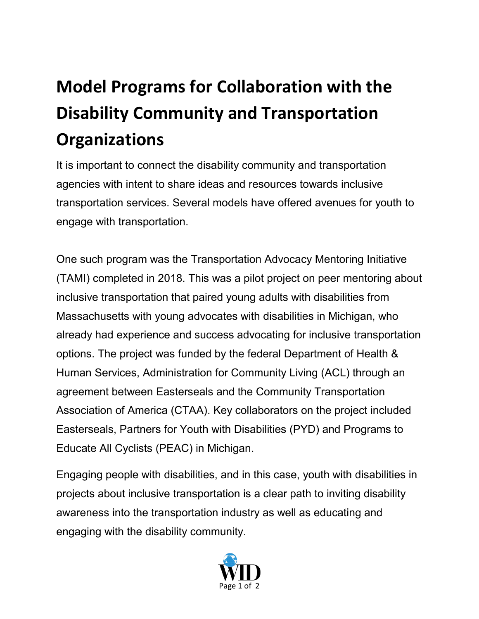## **Model Programs for Collaboration with the Disability Community and Transportation Organizations**

It is important to connect the disability community and transportation agencies with intent to share ideas and resources towards inclusive transportation services. Several models have offered avenues for youth to engage with transportation.

One such program was the Transportation Advocacy Mentoring Initiative (TAMI) completed in 2018. This was a pilot project on peer mentoring about inclusive transportation that paired young adults with disabilities from Massachusetts with young advocates with disabilities in Michigan, who already had experience and success advocating for inclusive transportation options. The project was funded by the federal Department of Health & Human Services, Administration for Community Living (ACL) through an agreement between Easterseals and the Community Transportation Association of America (CTAA). Key collaborators on the project included Easterseals, Partners for Youth with Disabilities (PYD) and Programs to Educate All Cyclists (PEAC) in Michigan.

Engaging people with disabilities, and in this case, youth with disabilities in projects about inclusive transportation is a clear path to inviting disability awareness into the transportation industry as well as educating and engaging with the disability community.